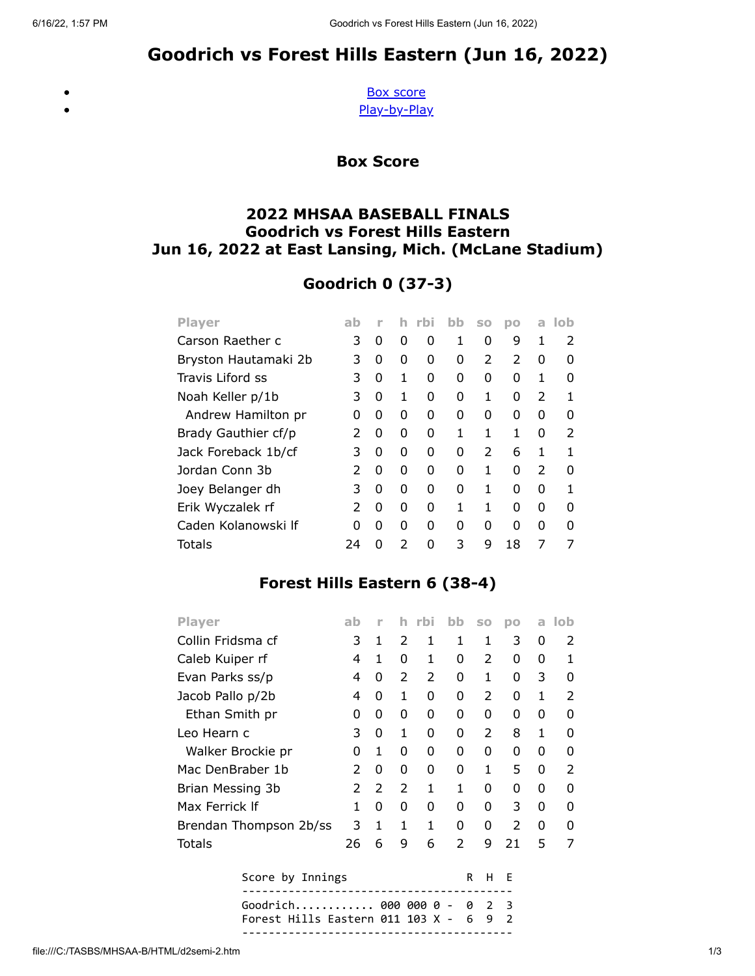# Goodrich vs Forest Hills Eastern (Jun 16, 2022)

<span id="page-0-0"></span> $\bullet$ 

[Box score](#page-0-0) [Play-by-Play](#page-1-0)

Box Score

### 2022 MHSAA BASEBALL FINALS Goodrich vs Forest Hills Eastern Jun 16, 2022 at East Lansing, Mich. (McLane Stadium)

## Goodrich 0 (37-3)

| <b>Player</b>        | ab            | r |   | rbi | bb           | <b>SO</b>     | DO            | a             | lob |
|----------------------|---------------|---|---|-----|--------------|---------------|---------------|---------------|-----|
| Carson Raether c     | 3             | 0 | 0 | O   | 1            | 0             | 9             | 1             | 2   |
| Bryston Hautamaki 2b | 3             | 0 | 0 | O   | 0            | $\mathcal{P}$ | $\mathcal{P}$ | 0             | O   |
| Travis Liford ss     | 3             | 0 | 1 | O   | <sup>0</sup> | 0             | O             | 1             | O   |
| Noah Keller p/1b     | 3             | 0 | 1 | O   | 0            | 1             | O             | $\mathcal{P}$ | 1   |
| Andrew Hamilton pr   | O             | 0 | 0 | O   | 0            | 0             | O             | 0             | 0   |
| Brady Gauthier cf/p  | 2             | 0 | 0 | O   | 1            | 1             | 1             | 0             | 2   |
| Jack Foreback 1b/cf  | 3             | 0 | 0 | O   | 0            | 2             | 6             | 1             | 1   |
| Jordan Conn 3b       | 2             | 0 | 0 | O   | 0            | 1             | O             | $\mathcal{P}$ | O   |
| Joey Belanger dh     | 3             | 0 | 0 | O   | $\Omega$     | 1             | O             | 0             |     |
| Erik Wyczalek rf     | $\mathcal{P}$ | 0 | 0 | O   | 1            | 1             | O             | 0             | ŋ   |
| Caden Kolanowski If  | ŋ             | O | O | O   | O            | 0             | O             | 0             | n   |
| Totals               | 24            | n | 2 | n   | 3            | 9             | 18            | 7             | 7   |

## Forest Hills Eastern 6 (38-4)

| <b>Player</b>          | ab            | ۲ |               | rbi           | bb            | SO | pо            | a | lob           |
|------------------------|---------------|---|---------------|---------------|---------------|----|---------------|---|---------------|
| Collin Fridsma cf      | 3             | 1 | $\mathcal{P}$ | 1             | 1             | 1  | 3             | 0 | 2             |
| Caleb Kuiper rf        | 4             | 1 | 0             | 1             | 0             | 2  | 0             | 0 | 1             |
| Evan Parks ss/p        | 4             | 0 | $\mathcal{P}$ | $\mathcal{P}$ | 0             | 1  | O             | 3 | 0             |
| Jacob Pallo p/2b       | 4             | 0 | 1             | 0             | 0             | 2  | 0             | 1 | $\mathcal{P}$ |
| Ethan Smith pr         | 0             | 0 | 0             | O             | 0             | 0  | 0             | 0 | <sup>0</sup>  |
| Leo Hearn c            | 3             | 0 | 1             | O             | 0             | 2  | 8             | 1 | 0             |
| Walker Brockie pr      | 0             | 1 | 0             | 0             | 0             | 0  | 0             | 0 | 0             |
| Mac DenBraber 1b       | $\mathcal{P}$ | 0 | 0             | O             | 0             | 1  | 5             | 0 | $\mathcal{P}$ |
| Brian Messing 3b       | 2             | 2 | 2             | 1             | 1             | 0  | 0             | 0 | 0             |
| Max Ferrick If         | 1             | 0 | 0             | O             | 0             | 0  | 3             | 0 | 0             |
| Brendan Thompson 2b/ss | 3             | 1 | 1             | 1             | 0             | 0  | $\mathcal{P}$ | 0 | O             |
| Totals                 | 26            | 6 | 9             | 6             | $\mathcal{P}$ | 9  | 21            | 5 | 7             |
| $\sim$                 |               |   |               |               |               |    |               |   |               |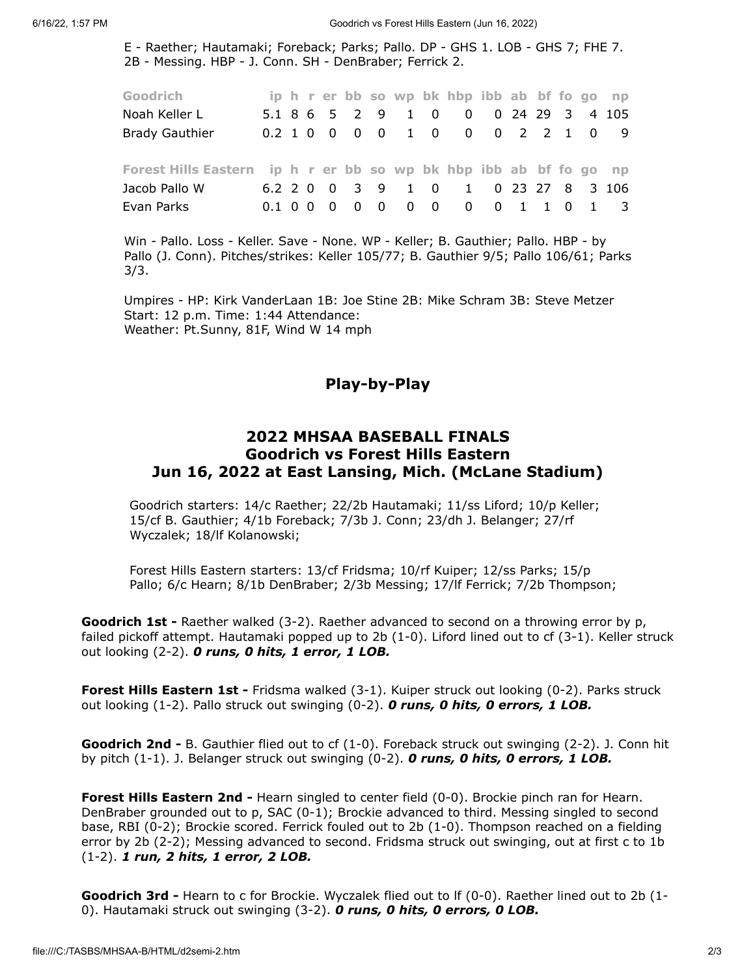E - Raether; Hautamaki; Foreback; Parks; Pallo. DP - GHS 1. LOB - GHS 7; FHE 7. 2B - Messing. HBP - J. Conn. SH - DenBraber; Ferrick 2.

| Goodrich                                                          |  |  |  |  | ip h r er bb so wp bk hbp ibb ab bf fo go np |  |  |  |
|-------------------------------------------------------------------|--|--|--|--|----------------------------------------------|--|--|--|
| Noah Keller L                                                     |  |  |  |  | 5.1 8 6 5 2 9 1 0 0 0 24 29 3 4 105          |  |  |  |
| <b>Brady Gauthier</b>                                             |  |  |  |  | 0.2 1 0 0 0 0 1 0 0 0 0 2 2 1 0 9            |  |  |  |
| Forest Hills Eastern ip h r er bb so wp bk hbp ibb ab bf fo go np |  |  |  |  |                                              |  |  |  |
| Jacob Pallo W                                                     |  |  |  |  | 6.2 2 0 0 3 9 1 0 1 0 23 27 8 3 106          |  |  |  |
| Evan Parks                                                        |  |  |  |  | 0.1 0 0 0 0 0 0 0 0 0 0 1 1 0 1 3            |  |  |  |

Win - Pallo. Loss - Keller. Save - None. WP - Keller; B. Gauthier; Pallo. HBP - by Pallo (J. Conn). Pitches/strikes: Keller 105/77; B. Gauthier 9/5; Pallo 106/61; Parks 3/3.

<span id="page-1-0"></span>Umpires - HP: Kirk VanderLaan 1B: Joe Stine 2B: Mike Schram 3B: Steve Metzer Start: 12 p.m. Time: 1:44 Attendance: Weather: Pt.Sunny, 81F, Wind W 14 mph

#### Play-by-Play

#### 2022 MHSAA BASEBALL FINALS Goodrich vs Forest Hills Eastern Jun 16, 2022 at East Lansing, Mich. (McLane Stadium)

Goodrich starters: 14/c Raether; 22/2b Hautamaki; 11/ss Liford; 10/p Keller; 15/cf B. Gauthier; 4/1b Foreback; 7/3b J. Conn; 23/dh J. Belanger; 27/rf Wyczalek; 18/lf Kolanowski;

Forest Hills Eastern starters: 13/cf Fridsma; 10/rf Kuiper; 12/ss Parks; 15/p Pallo; 6/c Hearn; 8/1b DenBraber; 2/3b Messing; 17/lf Ferrick; 7/2b Thompson;

Goodrich 1st - Raether walked (3-2). Raether advanced to second on a throwing error by p, failed pickoff attempt. Hautamaki popped up to 2b (1-0). Liford lined out to cf (3-1). Keller struck out looking  $(2-2)$ . O runs, O hits, 1 error, 1 LOB.

Forest Hills Eastern 1st - Fridsma walked (3-1). Kuiper struck out looking (0-2). Parks struck out looking  $(1-2)$ . Pallo struck out swinging  $(0-2)$ . O runs, O hits, O errors, 1 LOB.

Goodrich 2nd - B. Gauthier flied out to cf (1-0). Foreback struck out swinging (2-2). J. Conn hit by pitch  $(1-1)$ . J. Belanger struck out swinging  $(0-2)$ . O runs, O hits, O errors, 1 LOB.

Forest Hills Eastern 2nd - Hearn singled to center field (0-0). Brockie pinch ran for Hearn. DenBraber grounded out to p, SAC (0-1); Brockie advanced to third. Messing singled to second base, RBI (0-2); Brockie scored. Ferrick fouled out to 2b (1-0). Thompson reached on a fielding error by 2b (2-2); Messing advanced to second. Fridsma struck out swinging, out at first c to 1b (1-2). 1 run, 2 hits, 1 error, 2 LOB.

Goodrich 3rd - Hearn to c for Brockie. Wyczalek flied out to If (0-0). Raether lined out to 2b (1-0). Hautamaki struck out swinging  $(3-2)$ . **0 runs, 0 hits, 0 errors, 0 LOB.**